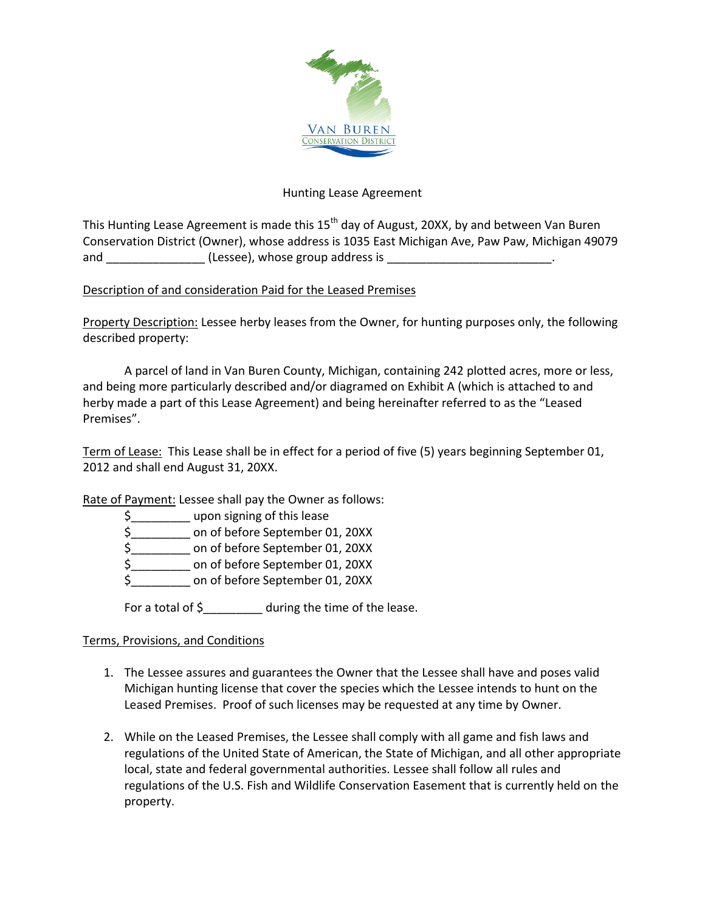

## Hunting Lease Agreement

This Hunting Lease Agreement is made this 15<sup>th</sup> day of August, 20XX, by and between Van Buren Conservation District (Owner), whose address is 1035 East Michigan Ave, Paw Paw, Michigan 49079 and  $(less)$ , whose group address is  $\cdot$ 

## Description of and consideration Paid for the Leased Premises

Property Description: Lessee herby leases from the Owner, for hunting purposes only, the following described property:

A parcel of land in Van Buren County, Michigan, containing 242 plotted acres, more or less, and being more particularly described and/or diagramed on Exhibit A (which is attached to and herby made a part of this Lease Agreement) and being hereinafter referred to as the "Leased Premises".

Term of Lease: This Lease shall be in effect for a period of five (5) years beginning September 01, 2012 and shall end August 31, 20XX.

Rate of Payment: Lessee shall pay the Owner as follows:

\$\_\_\_\_\_\_\_\_\_ upon signing of this lease

\$\_\_\_\_\_\_\_\_\_ on of before September 01, 20XX

\$\_\_\_\_\_\_\_\_\_ on of before September 01, 20XX

\$\_\_\_\_\_\_\_\_\_ on of before September 01, 20XX

\$\_\_\_\_\_\_\_\_\_ on of before September 01, 20XX

For a total of \$ during the time of the lease.

## Terms, Provisions, and Conditions

- 1. The Lessee assures and guarantees the Owner that the Lessee shall have and poses valid Michigan hunting license that cover the species which the Lessee intends to hunt on the Leased Premises. Proof of such licenses may be requested at any time by Owner.
- 2. While on the Leased Premises, the Lessee shall comply with all game and fish laws and regulations of the United State of American, the State of Michigan, and all other appropriate local, state and federal governmental authorities. Lessee shall follow all rules and regulations of the U.S. Fish and Wildlife Conservation Easement that is currently held on the property.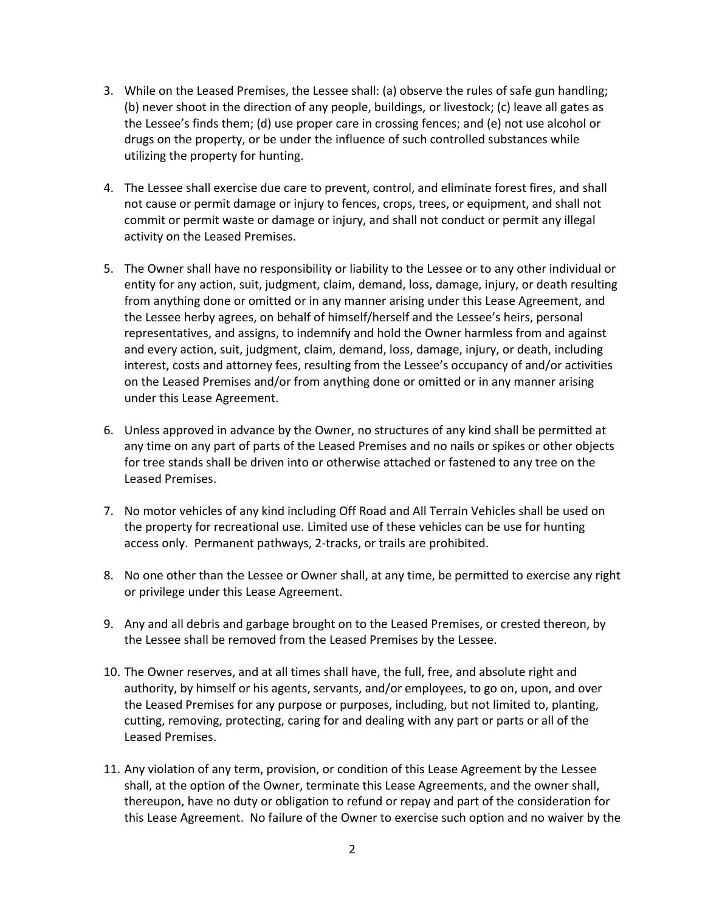- 3. While on the Leased Premises, the Lessee shall: (a) observe the rules of safe gun handling; (b) never shoot in the direction of any people, buildings, or livestock; (c) leave all gates as the Lessee's finds them; (d) use proper care in crossing fences; and (e) not use alcohol or drugs on the property, or be under the influence of such controlled substances while utilizing the property for hunting.
- 4. The Lessee shall exercise due care to prevent, control, and eliminate forest fires, and shall not cause or permit damage or injury to fences, crops, trees, or equipment, and shall not commit or permit waste or damage or injury, and shall not conduct or permit any illegal activity on the Leased Premises.
- 5. The Owner shall have no responsibility or liability to the Lessee or to any other individual or entity for any action, suit, judgment, claim, demand, loss, damage, injury, or death resulting from anything done or omitted or in any manner arising under this Lease Agreement, and the Lessee herby agrees, on behalf of himself/herself and the Lessee's heirs, personal representatives, and assigns, to indemnify and hold the Owner harmless from and against and every action, suit, judgment, claim, demand, loss, damage, injury, or death, including interest, costs and attorney fees, resulting from the Lessee's occupancy of and/or activities on the Leased Premises and/or from anything done or omitted or in any manner arising under this Lease Agreement.
- 6. Unless approved in advance by the Owner, no structures of any kind shall be permitted at any time on any part of parts of the Leased Premises and no nails or spikes or other objects for tree stands shall be driven into or otherwise attached or fastened to any tree on the Leased Premises.
- 7. No motor vehicles of any kind including Off Road and All Terrain Vehicles shall be used on the property for recreational use. Limited use of these vehicles can be use for hunting access only. Permanent pathways, 2-tracks, or trails are prohibited.
- 8. No one other than the Lessee or Owner shall, at any time, be permitted to exercise any right or privilege under this Lease Agreement.
- 9. Any and all debris and garbage brought on to the Leased Premises, or crested thereon, by the Lessee shall be removed from the Leased Premises by the Lessee.
- 10. The Owner reserves, and at all times shall have, the full, free, and absolute right and authority, by himself or his agents, servants, and/or employees, to go on, upon, and over the Leased Premises for any purpose or purposes, including, but not limited to, planting, cutting, removing, protecting, caring for and dealing with any part or parts or all of the Leased Premises.
- 11. Any violation of any term, provision, or condition of this Lease Agreement by the Lessee shall, at the option of the Owner, terminate this Lease Agreements, and the owner shall, thereupon, have no duty or obligation to refund or repay and part of the consideration for this Lease Agreement. No failure of the Owner to exercise such option and no waiver by the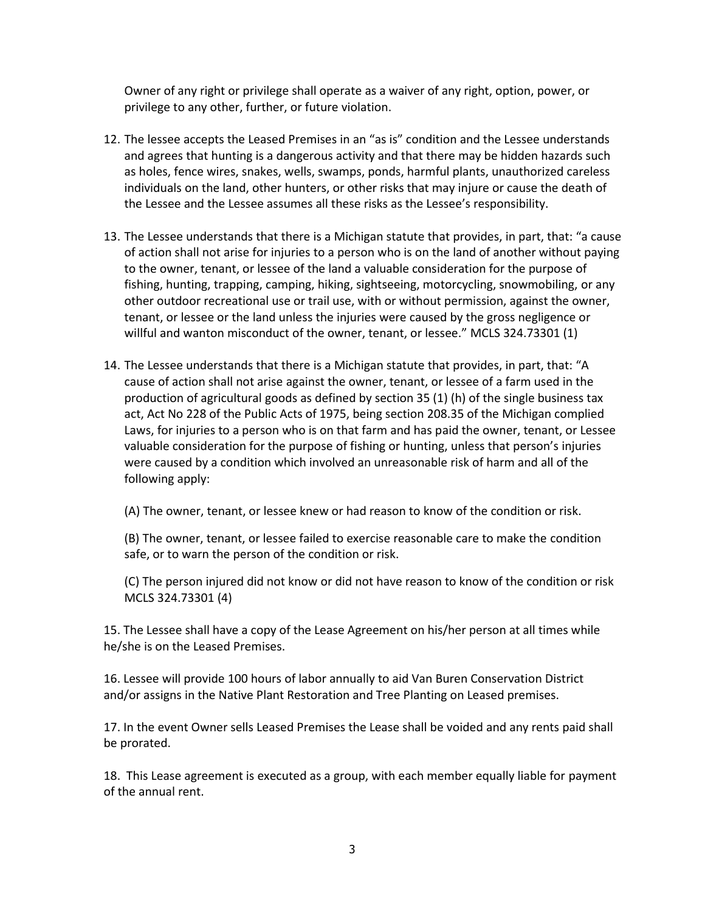Owner of any right or privilege shall operate as a waiver of any right, option, power, or privilege to any other, further, or future violation.

- 12. The lessee accepts the Leased Premises in an "as is" condition and the Lessee understands and agrees that hunting is a dangerous activity and that there may be hidden hazards such as holes, fence wires, snakes, wells, swamps, ponds, harmful plants, unauthorized careless individuals on the land, other hunters, or other risks that may injure or cause the death of the Lessee and the Lessee assumes all these risks as the Lessee's responsibility.
- 13. The Lessee understands that there is a Michigan statute that provides, in part, that: "a cause of action shall not arise for injuries to a person who is on the land of another without paying to the owner, tenant, or lessee of the land a valuable consideration for the purpose of fishing, hunting, trapping, camping, hiking, sightseeing, motorcycling, snowmobiling, or any other outdoor recreational use or trail use, with or without permission, against the owner, tenant, or lessee or the land unless the injuries were caused by the gross negligence or willful and wanton misconduct of the owner, tenant, or lessee." MCLS 324.73301 (1)
- 14. The Lessee understands that there is a Michigan statute that provides, in part, that: "A cause of action shall not arise against the owner, tenant, or lessee of a farm used in the production of agricultural goods as defined by section 35 (1) (h) of the single business tax act, Act No 228 of the Public Acts of 1975, being section 208.35 of the Michigan complied Laws, for injuries to a person who is on that farm and has paid the owner, tenant, or Lessee valuable consideration for the purpose of fishing or hunting, unless that person's injuries were caused by a condition which involved an unreasonable risk of harm and all of the following apply:

(A) The owner, tenant, or lessee knew or had reason to know of the condition or risk.

(B) The owner, tenant, or lessee failed to exercise reasonable care to make the condition safe, or to warn the person of the condition or risk.

(C) The person injured did not know or did not have reason to know of the condition or risk MCLS 324.73301 (4)

15. The Lessee shall have a copy of the Lease Agreement on his/her person at all times while he/she is on the Leased Premises.

16. Lessee will provide 100 hours of labor annually to aid Van Buren Conservation District and/or assigns in the Native Plant Restoration and Tree Planting on Leased premises.

17. In the event Owner sells Leased Premises the Lease shall be voided and any rents paid shall be prorated.

18. This Lease agreement is executed as a group, with each member equally liable for payment of the annual rent.